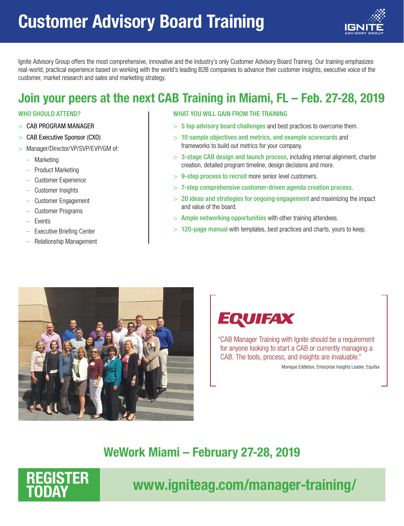# Customer Advisory Board Training



Ignite Advisory Group offers the most comprehensive, innovative and the industry's only Customer Advisory Board Training. Our training emphasizes real-world, practical experience based on working with the world's leading B2B companies to advance their customer insights, executive voice of the customer, market research and sales and marketing strategy.

### Join your peers at the next CAB Training in Miami, FL – Feb. 27-28, 2019

#### WHO SHOULD ATTEND?

- CAB PROGRAM MANAGER
- > CAB Executive Sponsor (CXO)
- > Manager/Director/VP/SVP/EVP/GM of:
	- Marketing
	- Product Marketing
	- Customer Experience
	- Customer Insights
	- Customer Engagement
	- Customer Programs
	- **Events**
	- Executive Briefing Center
	- Relationship Management

#### WHAT YOU WILL GAIN FROM THE TRAINING

- $> 5$  top advisory board challenges and best practices to overcome them.
- $>$  10 sample objectives and metrics, and example scorecards and frameworks to build out metrics for your company.
- $> 3$ -stage CAB design and launch process, including internal alignment, charter creation, detailed program timeline, design decisions and more.
- $> 9$ -step process to recruit more senior level customers.
- $>$  7-step comprehensive customer-driven agenda creation process.
- $> 20$  ideas and strategies for ongoing engagement and maximizing the impact and value of the board.
- $>$  Ample networking opportunities with other training attendees.
- $>$  120-page manual with templates, best practices and charts, yours to keep.



### **EQUIFAX**

"CAB Manager Training with Ignite should be a requirement for anyone looking to start a CAB or currently managing a CAB. The tools, process, and insights are invaluable."

Monique Eddleton, Enterprise Insights Leader, Equifax

### WeWork Miami – February 27-28, 2019



### www.igniteag.com/manager-training/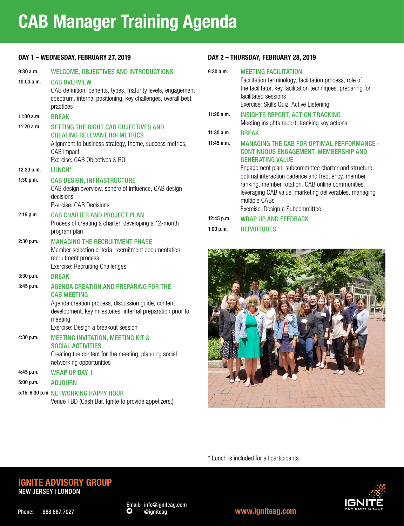## CAB Manager Training Agenda

#### DAY 1 – WEDNESDAY, FEBRUARY 27, 2019

| 9:30a.m.    | <b>WELCOME, OBJECTIVES AND INTRODUCTIONS</b>                                                                                                                                                                                             |
|-------------|------------------------------------------------------------------------------------------------------------------------------------------------------------------------------------------------------------------------------------------|
| 10:00 a.m.  | <b>CAB OVERVIEW</b><br>CAB definition, benefits, types, maturity levels, engagement<br>spectrum, internal positioning, key challenges, overall best<br>practices                                                                         |
| 11:00 a.m.  | <b>BREAK</b>                                                                                                                                                                                                                             |
| 11:20 a.m.  | SETTING THE RIGHT CAB OBJECTIVES AND<br><b>CREATING RELEVANT ROI METRICS</b><br>Alignment to business strategy, theme, success metrics,<br>CAB impact<br>Exercise: CAB Objectives & ROI                                                  |
| 12:30 p.m.  | LUNCH*                                                                                                                                                                                                                                   |
| 1:30 p.m.   | <b>CAB DESIGN, INFRASTRUCTURE</b><br>CAB design overview, sphere of influence, CAB design<br>decisions<br><b>Exercise: CAB Decisions</b>                                                                                                 |
| $2:15$ p.m. | <b>CAB CHARTER AND PROJECT PLAN</b><br>Process of creating a charter, developing a 12-month<br>program plan                                                                                                                              |
| 2:30 p.m.   | <b>MANAGING THE RECRUITMENT PHASE</b><br>Member selection criteria, recruitment documentation,<br>recruitment process<br><b>Exercise: Recruiting Challenges</b>                                                                          |
| 3:30 p.m.   | <b>RRFAK</b>                                                                                                                                                                                                                             |
| 3:45 p.m.   | <b>AGENDA CREATION AND PREPARING FOR THE</b><br><b>CAB MEETING</b><br>Agenda creation process, discussion guide, content<br>development, key milestones, internal preparation prior to<br>meeting<br>Exercise: Design a breakout session |
| 4:30 p.m.   | <b>MEETING INVITATION, MEETING KIT &amp;</b><br><b>SOCIAL ACTIVITIES</b><br>Creating the content for the meeting, planning social<br>networking opportunities                                                                            |
| 4:45 p.m.   | <b>WRAP UP DAY 1</b>                                                                                                                                                                                                                     |

5:00 p.m. ADJOURN

5:15-6:30 p.m. NETWORKING HAPPY HOUR

Venue TBD (Cash Bar. Ignite to provide appetizers.)

#### DAY 2 – THURSDAY, FEBRUARY 28, 2019

| 9:30a.m.     | <b>MEETING FACILITATION</b>                                                                                                                                                                                                                                                                                                                                                                                  |
|--------------|--------------------------------------------------------------------------------------------------------------------------------------------------------------------------------------------------------------------------------------------------------------------------------------------------------------------------------------------------------------------------------------------------------------|
|              | Facilitation terminology, facilitation process, role of<br>the facilitator, key facilitation techniques, preparing for<br>facilitated sessions<br>Exercise: Skills Quiz, Active Listening                                                                                                                                                                                                                    |
| $11:20$ a.m. | <b>INSIGHTS REPORT, ACTION TRACKING</b><br>Meeting insights report, tracking key actions                                                                                                                                                                                                                                                                                                                     |
| $11:30$ a.m. | <b>BREAK</b>                                                                                                                                                                                                                                                                                                                                                                                                 |
| $11:45$ a.m. | <b>MANAGING THE CAB FOR OPTIMAL PERFORMANCE -</b><br><b>CONTINUOUS ENGAGEMENT, MEMBERSHIP AND</b><br><b>GENERATING VALUE</b><br>Engagement plan, subcommittee charter and structure,<br>optimal interaction cadence and frequency, member<br>ranking, member rotation, CAB online communities,<br>leveraging CAB value, marketing deliverables, managing<br>multiple CABs<br>Exercise: Design a Subcommittee |
| 12:45 p.m.   | <b>WRAP UP AND FEEDBACK</b>                                                                                                                                                                                                                                                                                                                                                                                  |
| 1:00 p.m.    | DEPARTURES                                                                                                                                                                                                                                                                                                                                                                                                   |



\* Lunch is included for all participants.

#### IGNITE ADVISORY GROUP NEW JERSEY | LONDON



model <www.igniteag.com>